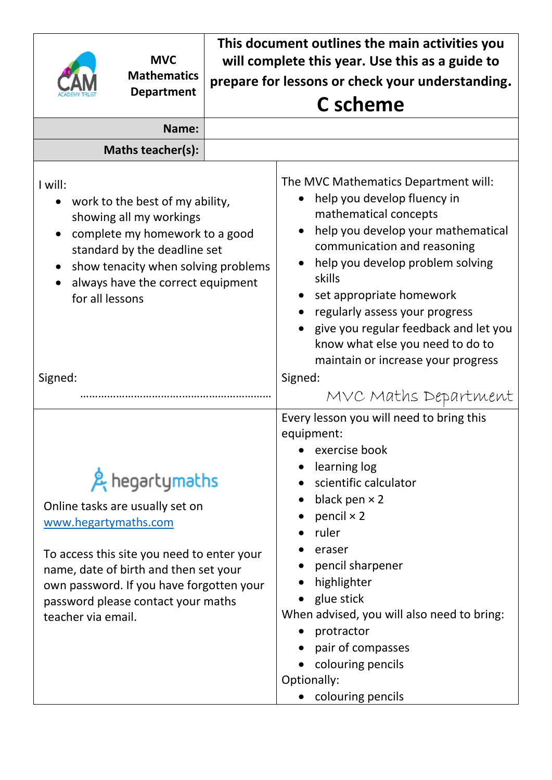| <b>MVC</b>                                                                                                                                                                                                                                                               | This document outlines the main activities you<br>will complete this year. Use this as a guide to                                                                                                                                                                                                                                                                                                                                   |  |  |  |  |
|--------------------------------------------------------------------------------------------------------------------------------------------------------------------------------------------------------------------------------------------------------------------------|-------------------------------------------------------------------------------------------------------------------------------------------------------------------------------------------------------------------------------------------------------------------------------------------------------------------------------------------------------------------------------------------------------------------------------------|--|--|--|--|
| <b>Mathematics</b>                                                                                                                                                                                                                                                       | prepare for lessons or check your understanding.                                                                                                                                                                                                                                                                                                                                                                                    |  |  |  |  |
| <b>Department</b>                                                                                                                                                                                                                                                        | <b>C</b> scheme                                                                                                                                                                                                                                                                                                                                                                                                                     |  |  |  |  |
| Name:                                                                                                                                                                                                                                                                    |                                                                                                                                                                                                                                                                                                                                                                                                                                     |  |  |  |  |
| Maths teacher(s):                                                                                                                                                                                                                                                        |                                                                                                                                                                                                                                                                                                                                                                                                                                     |  |  |  |  |
| I will:<br>work to the best of my ability,<br>showing all my workings<br>complete my homework to a good<br>standard by the deadline set<br>show tenacity when solving problems<br>always have the correct equipment<br>for all lessons<br>Signed:                        | The MVC Mathematics Department will:<br>help you develop fluency in<br>mathematical concepts<br>help you develop your mathematical<br>communication and reasoning<br>help you develop problem solving<br>skills<br>set appropriate homework<br>regularly assess your progress<br>give you regular feedback and let you<br>know what else you need to do to<br>maintain or increase your progress<br>Signed:<br>MVC Maths Department |  |  |  |  |
| & hegartymaths<br>Online tasks are usually set on<br>www.hegartymaths.com<br>To access this site you need to enter your<br>name, date of birth and then set your<br>own password. If you have forgotten your<br>password please contact your maths<br>teacher via email. | Every lesson you will need to bring this<br>equipment:<br>• exercise book<br>learning log<br>scientific calculator<br>black pen $\times$ 2<br>pencil $\times$ 2<br>ruler<br>eraser<br>pencil sharpener<br>highlighter<br>glue stick<br>When advised, you will also need to bring:<br>protractor<br>pair of compasses<br>colouring pencils<br>Optionally:<br>colouring pencils                                                       |  |  |  |  |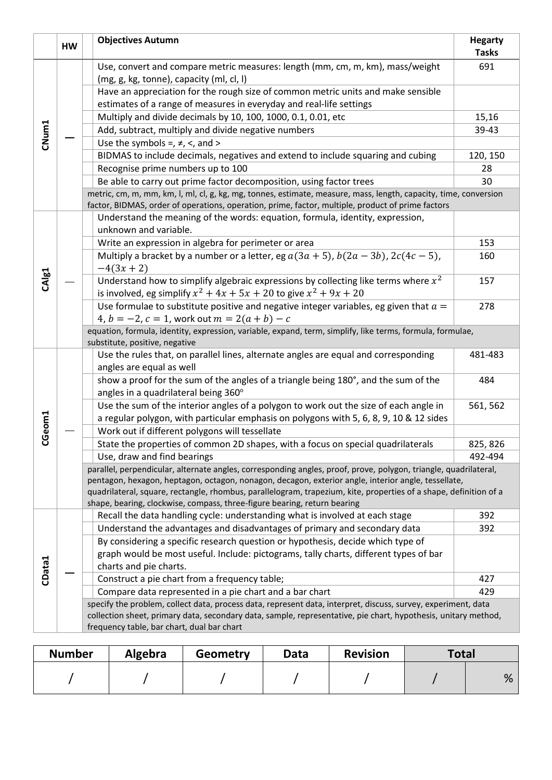|                   | <b>HW</b> | <b>Objectives Autumn</b>                                                                                                                                                                                              | <b>Hegarty</b><br><b>Tasks</b> |
|-------------------|-----------|-----------------------------------------------------------------------------------------------------------------------------------------------------------------------------------------------------------------------|--------------------------------|
|                   |           | Use, convert and compare metric measures: length (mm, cm, m, km), mass/weight                                                                                                                                         | 691                            |
|                   |           | (mg, g, kg, tonne), capacity (ml, cl, l)                                                                                                                                                                              |                                |
|                   |           | Have an appreciation for the rough size of common metric units and make sensible                                                                                                                                      |                                |
|                   |           | estimates of a range of measures in everyday and real-life settings                                                                                                                                                   |                                |
|                   |           | Multiply and divide decimals by 10, 100, 1000, 0.1, 0.01, etc                                                                                                                                                         | 15,16                          |
| CNum1             |           | Add, subtract, multiply and divide negative numbers                                                                                                                                                                   | 39-43                          |
|                   |           | Use the symbols =, $\neq$ , <, and >                                                                                                                                                                                  |                                |
|                   |           | BIDMAS to include decimals, negatives and extend to include squaring and cubing                                                                                                                                       | 120, 150                       |
|                   |           | Recognise prime numbers up to 100                                                                                                                                                                                     | 28                             |
|                   |           | Be able to carry out prime factor decomposition, using factor trees                                                                                                                                                   | 30                             |
|                   |           | metric, cm, m, mm, km, l, ml, cl, g, kg, mg, tonnes, estimate, measure, mass, length, capacity, time, conversion<br>factor, BIDMAS, order of operations, operation, prime, factor, multiple, product of prime factors |                                |
|                   |           | Understand the meaning of the words: equation, formula, identity, expression,                                                                                                                                         |                                |
|                   |           | unknown and variable.                                                                                                                                                                                                 |                                |
|                   |           | Write an expression in algebra for perimeter or area                                                                                                                                                                  | 153                            |
|                   |           | Multiply a bracket by a number or a letter, eg $a(3a + 5)$ , $b(2a - 3b)$ , $2c(4c - 5)$ ,                                                                                                                            | 160                            |
|                   |           | $-4(3x + 2)$                                                                                                                                                                                                          |                                |
| CAI <sub>81</sub> |           | Understand how to simplify algebraic expressions by collecting like terms where $x^2$                                                                                                                                 | 157                            |
|                   |           | is involved, eg simplify $x^2 + 4x + 5x + 20$ to give $x^2 + 9x + 20$                                                                                                                                                 |                                |
|                   |           | Use formulae to substitute positive and negative integer variables, eg given that $a =$                                                                                                                               | 278                            |
|                   |           | 4, $b = -2$ , $c = 1$ , work out $m = 2(a + b) - c$                                                                                                                                                                   |                                |
|                   |           | equation, formula, identity, expression, variable, expand, term, simplify, like terms, formula, formulae,                                                                                                             |                                |
|                   |           | substitute, positive, negative                                                                                                                                                                                        |                                |
|                   |           | Use the rules that, on parallel lines, alternate angles are equal and corresponding                                                                                                                                   | 481-483                        |
|                   |           | angles are equal as well                                                                                                                                                                                              |                                |
|                   |           | show a proof for the sum of the angles of a triangle being 180°, and the sum of the<br>angles in a quadrilateral being 360°                                                                                           | 484                            |
|                   |           | Use the sum of the interior angles of a polygon to work out the size of each angle in                                                                                                                                 | 561, 562                       |
|                   |           | a regular polygon, with particular emphasis on polygons with 5, 6, 8, 9, 10 & 12 sides                                                                                                                                |                                |
| CGeom1            |           | Work out if different polygons will tessellate                                                                                                                                                                        |                                |
|                   |           | State the properties of common 2D shapes, with a focus on special quadrilaterals                                                                                                                                      | 825, 826                       |
|                   |           | Use, draw and find bearings                                                                                                                                                                                           | 492-494                        |
|                   |           | parallel, perpendicular, alternate angles, corresponding angles, proof, prove, polygon, triangle, quadrilateral,                                                                                                      |                                |
|                   |           | pentagon, hexagon, heptagon, octagon, nonagon, decagon, exterior angle, interior angle, tessellate,                                                                                                                   |                                |
|                   |           | quadrilateral, square, rectangle, rhombus, parallelogram, trapezium, kite, properties of a shape, definition of a                                                                                                     |                                |
|                   |           | shape, bearing, clockwise, compass, three-figure bearing, return bearing                                                                                                                                              |                                |
|                   |           | Recall the data handling cycle: understanding what is involved at each stage                                                                                                                                          | 392                            |
|                   |           | Understand the advantages and disadvantages of primary and secondary data                                                                                                                                             | 392                            |
|                   |           | By considering a specific research question or hypothesis, decide which type of                                                                                                                                       |                                |
|                   |           | graph would be most useful. Include: pictograms, tally charts, different types of bar                                                                                                                                 |                                |
| CData1            |           | charts and pie charts.                                                                                                                                                                                                |                                |
|                   |           | Construct a pie chart from a frequency table;                                                                                                                                                                         | 427<br>429                     |
|                   |           | Compare data represented in a pie chart and a bar chart<br>specify the problem, collect data, process data, represent data, interpret, discuss, survey, experiment, data                                              |                                |
|                   |           | collection sheet, primary data, secondary data, sample, representative, pie chart, hypothesis, unitary method,                                                                                                        |                                |
|                   |           | frequency table, bar chart, dual bar chart                                                                                                                                                                            |                                |
|                   |           |                                                                                                                                                                                                                       |                                |

| <b>Number</b> | Algebra | <b>Geometry</b> | Data | <b>Revision</b> | <b>Total</b> |   |
|---------------|---------|-----------------|------|-----------------|--------------|---|
|               |         |                 |      |                 |              | % |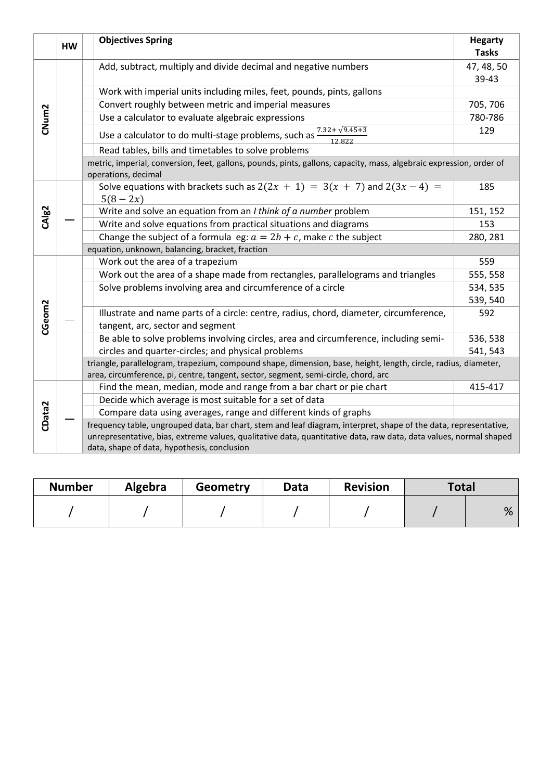|                    | <b>HW</b> | <b>Objectives Spring</b>                                                                                                                                                                             | <b>Hegarty</b><br><b>Tasks</b> |  |  |  |
|--------------------|-----------|------------------------------------------------------------------------------------------------------------------------------------------------------------------------------------------------------|--------------------------------|--|--|--|
|                    |           | Add, subtract, multiply and divide decimal and negative numbers                                                                                                                                      | 47, 48, 50                     |  |  |  |
|                    |           |                                                                                                                                                                                                      | 39-43                          |  |  |  |
|                    |           | Work with imperial units including miles, feet, pounds, pints, gallons                                                                                                                               |                                |  |  |  |
|                    |           | Convert roughly between metric and imperial measures                                                                                                                                                 | 705, 706                       |  |  |  |
| CNum <sub>2</sub>  |           | Use a calculator to evaluate algebraic expressions                                                                                                                                                   | 780-786                        |  |  |  |
|                    |           | Use a calculator to do multi-stage problems, such as $\frac{7.32 + \sqrt{9.45 + 3}}{12.822}$                                                                                                         | 129                            |  |  |  |
|                    |           | Read tables, bills and timetables to solve problems                                                                                                                                                  |                                |  |  |  |
|                    |           | metric, imperial, conversion, feet, gallons, pounds, pints, gallons, capacity, mass, algebraic expression, order of<br>operations, decimal                                                           |                                |  |  |  |
|                    |           | Solve equations with brackets such as $2(2x + 1) = 3(x + 7)$ and $2(3x - 4) =$<br>$5(8-2x)$                                                                                                          | 185                            |  |  |  |
| CAlg <sub>2</sub>  |           | Write and solve an equation from an I think of a number problem                                                                                                                                      | 151, 152                       |  |  |  |
|                    |           | Write and solve equations from practical situations and diagrams                                                                                                                                     | 153                            |  |  |  |
|                    |           | Change the subject of a formula eg: $a = 2b + c$ , make c the subject                                                                                                                                | 280, 281                       |  |  |  |
|                    |           | equation, unknown, balancing, bracket, fraction                                                                                                                                                      |                                |  |  |  |
|                    |           | Work out the area of a trapezium                                                                                                                                                                     | 559                            |  |  |  |
|                    |           | Work out the area of a shape made from rectangles, parallelograms and triangles                                                                                                                      | 555, 558                       |  |  |  |
|                    |           | Solve problems involving area and circumference of a circle                                                                                                                                          | 534, 535                       |  |  |  |
|                    |           |                                                                                                                                                                                                      | 539, 540                       |  |  |  |
| CGeom <sub>2</sub> |           | Illustrate and name parts of a circle: centre, radius, chord, diameter, circumference,<br>tangent, arc, sector and segment                                                                           | 592                            |  |  |  |
|                    |           | Be able to solve problems involving circles, area and circumference, including semi-                                                                                                                 | 536, 538                       |  |  |  |
|                    |           | circles and quarter-circles; and physical problems                                                                                                                                                   | 541, 543                       |  |  |  |
|                    |           | triangle, parallelogram, trapezium, compound shape, dimension, base, height, length, circle, radius, diameter,<br>area, circumference, pi, centre, tangent, sector, segment, semi-circle, chord, arc |                                |  |  |  |
|                    |           | Find the mean, median, mode and range from a bar chart or pie chart                                                                                                                                  | 415-417                        |  |  |  |
|                    |           | Decide which average is most suitable for a set of data                                                                                                                                              |                                |  |  |  |
| CData2             |           | Compare data using averages, range and different kinds of graphs                                                                                                                                     |                                |  |  |  |
|                    |           | frequency table, ungrouped data, bar chart, stem and leaf diagram, interpret, shape of the data, representative,                                                                                     |                                |  |  |  |
|                    |           | unrepresentative, bias, extreme values, qualitative data, quantitative data, raw data, data values, normal shaped                                                                                    |                                |  |  |  |
|                    |           | data, shape of data, hypothesis, conclusion                                                                                                                                                          |                                |  |  |  |

| <b>Number</b> | Algebra | Geometry | Data | <b>Revision</b> | <b>Total</b> |   |
|---------------|---------|----------|------|-----------------|--------------|---|
|               |         |          |      |                 |              | % |